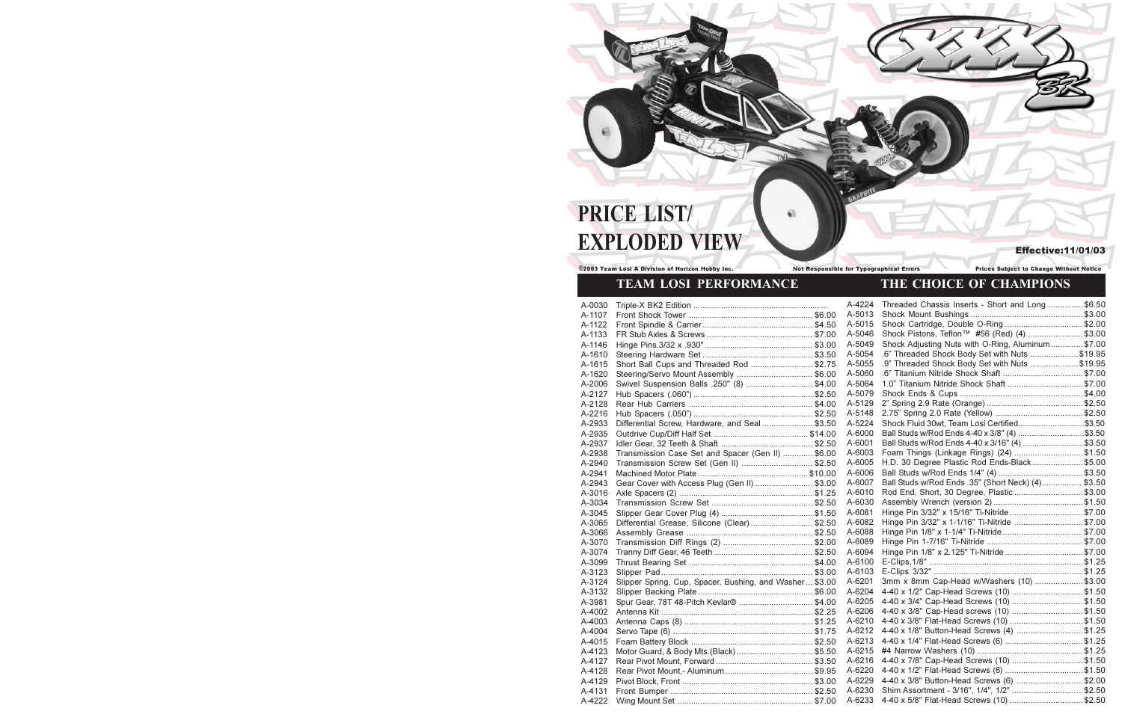# PRICE LIST/ **EXPLODED VIEW**

©2003 Team Losi A Division of Horizon Hobby Inc.

### Not Responsible for Typographical Errors

# TEAM LOSI PERFORMANCE

| A-0030 |                                                         | A-4224 | Threaded Chassis Inserts - Short and Long \$6.50   |  |
|--------|---------------------------------------------------------|--------|----------------------------------------------------|--|
| A-1107 |                                                         | A-5013 |                                                    |  |
| A-1122 |                                                         | A-5015 | Shock Cartridge, Double O-Ring \$2.00              |  |
| A-1133 |                                                         | A-5046 | Shock Pistons, Teflon™ #56 (Red) (4) \$3.00        |  |
| A-1146 |                                                         | A-5049 | Shock Adjusting Nuts with O-Ring, Aluminum \$7.00  |  |
| A-1610 |                                                         | A-5054 | .6" Threaded Shock Body Set with Nuts \$19.95      |  |
| A-1615 | Short Ball Cups and Threaded Rod  \$2.75                | A-5055 | .9" Threaded Shock Body Set with Nuts \$19.95      |  |
| A-1620 | Steering/Servo Mount Assembly  \$6.00                   | A-5060 |                                                    |  |
| A-2006 | Swivel Suspension Balls .250" (8)  \$4.00               | A-5064 | 1.0" Titanium Nitride Shock Shaft  \$7.00          |  |
| A-2127 |                                                         | A-5079 |                                                    |  |
| A-2128 |                                                         | A-5129 |                                                    |  |
| A-2216 |                                                         | A-5148 |                                                    |  |
| A-2933 | Differential Screw, Hardware, and Seal \$3.50           | A-5224 | Shock Fluid 30wt, Team Losi Certified\$3.50        |  |
| A-2935 |                                                         | A-6000 | Ball Studs w/Rod Ends 4-40 x 3/8" (4) \$3.50       |  |
| A-2937 |                                                         | A-6001 | Ball Studs w/Rod Ends 4-40 x 3/16" (4) \$3.50      |  |
| A-2938 | Transmission Case Set and Spacer (Gen II)  \$6.00       | A-6003 | Foam Things (Linkage Rings) (24) \$1.50            |  |
| A-2940 | Transmission Screw Set (Gen II)  \$2.50                 | A-6005 | H.D. 30 Degree Plastic Rod Ends-Black \$5.00       |  |
| A-2941 |                                                         | A-6006 |                                                    |  |
| A-2943 | Gear Cover with Access Plug (Gen II)  \$3.00            | A-6007 | Ball Studs w/Rod Ends .35" (Short Neck) (4) \$3.50 |  |
| A-3016 |                                                         | A-6010 | Rod End, Short, 30 Degree, Plastic \$3.00          |  |
| A-3034 |                                                         | A-6030 |                                                    |  |
| A-3045 |                                                         | A-6081 | Hinge Pin 3/32" x 15/16" Ti-Nitride\$7.00          |  |
| A-3065 | Differential Grease, Silicone (Clear)  \$2.50           | A-6082 | Hinge Pin 3/32" x 1-1/16" Ti-Nitride \$7.00        |  |
| A-3066 |                                                         | A-6088 |                                                    |  |
| A-3070 |                                                         | A-6089 |                                                    |  |
| A-3074 |                                                         | A-6094 | Hinge Pin 1/8" x 2.125" Ti-Nitride \$7.00          |  |
| A-3099 |                                                         | A-6100 |                                                    |  |
| A-3123 |                                                         | A-6103 |                                                    |  |
| A-3124 | Slipper Spring, Cup, Spacer, Bushing, and Washer \$3.00 | A-6201 | 3mm x 8mm Cap-Head w/Washers (10) \$3.00           |  |
| A-3132 |                                                         | A-6204 | 4-40 x 1/2" Cap-Head Screws (10) \$1.50            |  |
| A-3981 | Spur Gear, 78T 48-Pitch Kevlar® \$4.00                  | A-6205 | 4-40 x 3/4" Cap-Head Screws (10) \$1.50            |  |
| A-4002 |                                                         | A-6206 | 4-40 x 3/8" Cap-Head screws (10) \$1.50            |  |
| A-4003 |                                                         | A-6210 | 4-40 x 3/8" Flat-Head Screws (10) \$1.50           |  |
| A-4004 |                                                         | A-6212 | 4-40 x 1/8" Button-Head Screws (4) \$1.25          |  |
| A-4015 |                                                         | A-6213 | 4-40 x 1/4" Flat-Head Screws (6) \$1.25            |  |
| A-4123 |                                                         | A-6215 |                                                    |  |
| A-4127 |                                                         | A-6216 | 4-40 x 7/8" Cap-Head Screws (10) \$1.50            |  |
| A-4128 |                                                         | A-6220 | 4-40 x 1/2" Flat-Head Screws (6) \$1.50            |  |
| A-4129 |                                                         | A-6229 | 4-40 x 3/8" Button-Head Screws (6) \$2.00          |  |
| A-4131 |                                                         | A-6230 | Shim Assortment - 3/16", 1/4", 1/2" \$2.50         |  |
| A-4222 |                                                         | A-6233 | 4-40 x 5/8" Flat-Head Screws (10) \$2.50           |  |
|        |                                                         |        |                                                    |  |

**Effective:11/01/03** 

## **Prices Subject to Change Without Notice** THE CHOICE OF CHAMPIONS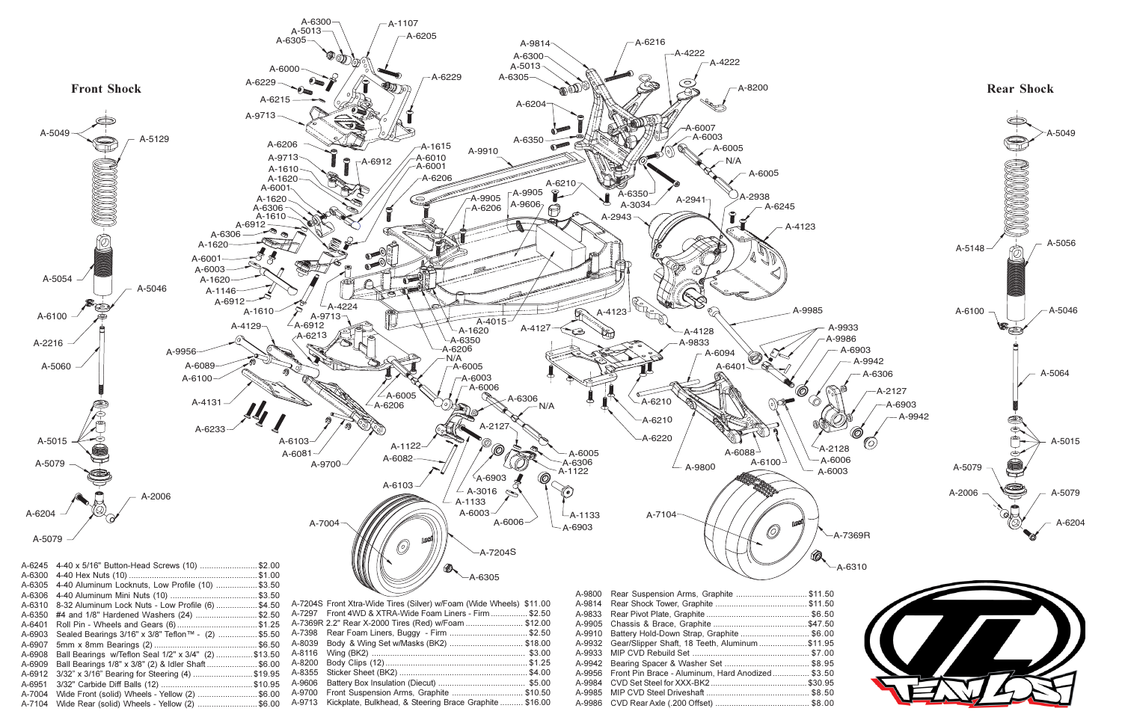